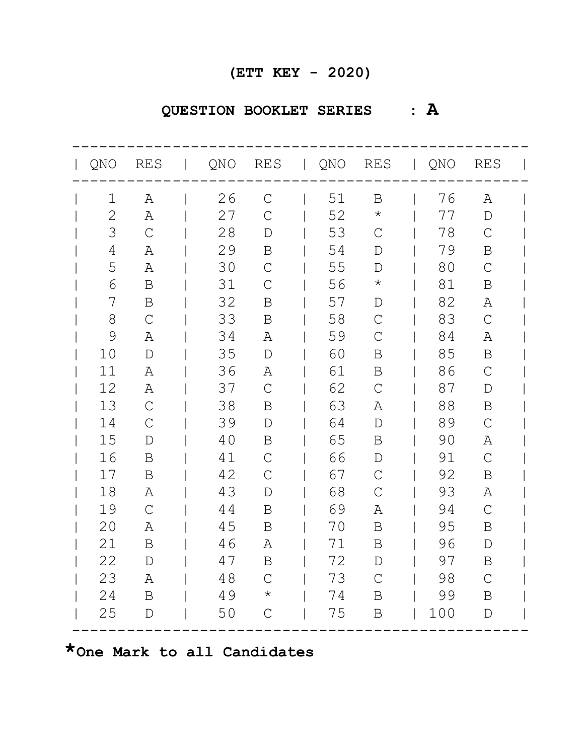# **QUESTION BOOKLET SERIES : A**

|               | QNO RES       | <b>Contract Contract</b> |    |               |    |               | QNO RES   QNO RES   QNO RES |               |  |
|---------------|---------------|--------------------------|----|---------------|----|---------------|-----------------------------|---------------|--|
| 1             | $\mathbb{A}$  |                          | 26 | $\mathcal{C}$ | 51 | $\, {\bf B}$  | 76                          | Α             |  |
| $\mathbf{2}$  | A             |                          | 27 | $\mathcal{C}$ | 52 | $\star$       | 77                          | $\mathbb D$   |  |
| 3             | $\mathcal{C}$ |                          | 28 | $\mathbb D$   | 53 | $\mathcal{C}$ | 78                          | $\mathcal{C}$ |  |
| 4             | Α             |                          | 29 | Β             | 54 | $\mathbb D$   | 79                          | B             |  |
| 5             | Α             |                          | 30 | $\mathsf{C}$  | 55 | $\mathbb D$   | 80                          | $\mathcal{C}$ |  |
| 6             | $\, {\bf B}$  |                          | 31 | $\mathcal{C}$ | 56 | $\star$       | 81                          | B             |  |
| 7             | B             |                          | 32 | B             | 57 | $\mathbb D$   | 82                          | Α             |  |
| 8             | $\mathsf C$   |                          | 33 | Β             | 58 | $\mathcal{C}$ | 83                          | $\mathcal{C}$ |  |
| $\mathcal{G}$ | $\mathbb{A}$  |                          | 34 | Α             | 59 | $\mathcal{C}$ | 84                          | Α             |  |
| 10            | $\mathbb{D}$  |                          | 35 | $\mathbb D$   | 60 | B             | 85                          | $\mathbf B$   |  |
| 11            | Α             |                          | 36 | Α             | 61 | B             | 86                          | $\mathcal{C}$ |  |
| 12            | Α             |                          | 37 | $\mathcal{C}$ | 62 | $\mathcal{C}$ | 87                          | $\mathbb D$   |  |
| 13            | $\mathcal{C}$ |                          | 38 | B             | 63 | Α             | 88                          | $\mathbf B$   |  |
| 14            | $\mathcal{C}$ |                          | 39 | $\mathbb D$   | 64 | $\mathbf{D}$  | 89                          | $\mathcal{C}$ |  |
| 15            | $\mathbb{D}$  |                          | 40 | $\mathbf B$   | 65 | B             | 90                          | Α             |  |
| 16            | B             |                          | 41 | $\mathsf{C}$  | 66 | $\mathbb D$   | 91                          | $\mathcal{C}$ |  |
| 17            | $\mathbf B$   |                          | 42 | $\mathsf{C}$  | 67 | $\mathcal{C}$ | 92                          | B             |  |
| 18            | Α             |                          | 43 | $\mathbf{D}$  | 68 | $\mathcal{C}$ | 93                          | Α             |  |
| 19            | $\mathsf{C}$  |                          | 44 | B             | 69 | Α             | 94                          | $\mathcal{C}$ |  |
| 20            | Α             |                          | 45 | B             | 70 | $\, {\bf B}$  | 95                          | B             |  |
| 21            | $\mathbf B$   |                          | 46 | Α             | 71 | B             | 96                          | D             |  |
| 22            | $\mathbb{D}$  |                          | 47 | B             | 72 | $\mathbb D$   | 97                          | $\mathbf B$   |  |
| 23            | Α             |                          | 48 | $\mathsf{C}$  | 73 | $\mathcal{C}$ | 98                          | $\mathcal{C}$ |  |
| 24            | B             |                          | 49 | $^\star$      | 74 | B             | 99                          | B             |  |
| 25            | $\mathbb D$   |                          | 50 | $\mathsf{C}$  | 75 | $\mathbf B$   | 100                         | $\mathbb D$   |  |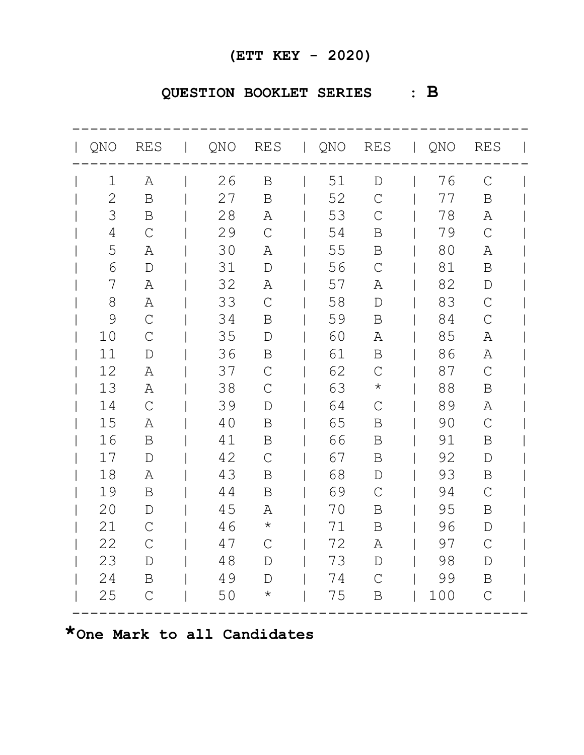## **QUESTION BOOKLET SERIES : B**

| QNO RES        |                | QNO RES   QNO RES   QNO RES |               |    |               |     |                |  |
|----------------|----------------|-----------------------------|---------------|----|---------------|-----|----------------|--|
| 1              | A              | 26                          | $\mathbf B$   | 51 | $\mathbb{D}$  | 76  | $\mathcal{C}$  |  |
| $\mathbf{2}$   | $\, {\bf B}$   | 27                          | B             | 52 | $\mathcal{C}$ | 77  | $\mathbf B$    |  |
| 3              | $\, {\bf B}$   | 28                          | Α             | 53 | $\mathsf{C}$  | 78  | Α              |  |
| $\overline{4}$ | $\overline{C}$ | 29                          | $\mathsf{C}$  | 54 | Β             | 79  | $\mathcal{C}$  |  |
| 5              | Α              | 30                          | Α             | 55 | B             | 80  | Α              |  |
| 6              | $\mathbb D$    | 31                          | $\mathbb D$   | 56 | $\mathcal{C}$ | 81  | $\mathbf B$    |  |
| 7              | Α              | 32                          | Α             | 57 | Α             | 82  | $\mathbb{D}$   |  |
| 8              | Α              | 33                          | $\mathsf{C}$  | 58 | $\mathbb D$   | 83  | $\mathcal{C}$  |  |
| $\mathcal{G}$  | $\mathcal{C}$  | 34                          | B             | 59 | B             | 84  | $\overline{C}$ |  |
| 10             | $\mathcal{C}$  | 35                          | $\mathbb D$   | 60 | Α             | 85  | Α              |  |
| 11             | $\mathbf D$    | 36                          | $\mathbf B$   | 61 | B             | 86  | Α              |  |
| 12             | Α              | 37                          | $\mathsf{C}$  | 62 | $\mathcal{C}$ | 87  | $\mathcal{C}$  |  |
| 13             | A              | 38                          | $\mathcal{C}$ | 63 | $\star$       | 88  | B              |  |
| 14             | $\mathcal{C}$  | 39                          | $\mathbb D$   | 64 | $\mathcal{C}$ | 89  | Α              |  |
| 15             | Α              | 40                          | B             | 65 | B             | 90  | $\mathcal{C}$  |  |
| 16             | $\mathbf B$    | 41                          | B             | 66 | B             | 91  | $\mathbf B$    |  |
| 17             | $\mathbf D$    | 42                          | $\mathsf{C}$  | 67 | B             | 92  | $\mathbf{D}$   |  |
| 18             | Α              | 43                          | B             | 68 | $\mathbb D$   | 93  | B              |  |
| 19             | $\, {\bf B}$   | 44                          | $\mathbf B$   | 69 | $\mathcal{C}$ | 94  | $\mathcal{C}$  |  |
| 20             | D              | 45                          | Α             | 70 | Β             | 95  | B              |  |
| 21             | $\mathcal{C}$  | 46                          | $\star$       | 71 | B             | 96  | $\mathbb D$    |  |
| 22             | $\mathcal{C}$  | 47                          | $\mathsf{C}$  | 72 | Α             | 97  | $\mathcal{C}$  |  |
| 23             | $\mathbf D$    | 48                          | D             | 73 | $\mathbb D$   | 98  | $\mathcal{D}$  |  |
| 24             | $\mathbf B$    | 49                          | $\mathcal{D}$ | 74 | $\mathcal{C}$ | 99  | $\mathbf B$    |  |
| 25             | $\mathsf C$    | 50                          | $\star$       | 75 | $\, {\bf B}$  | 100 | $\mathsf C$    |  |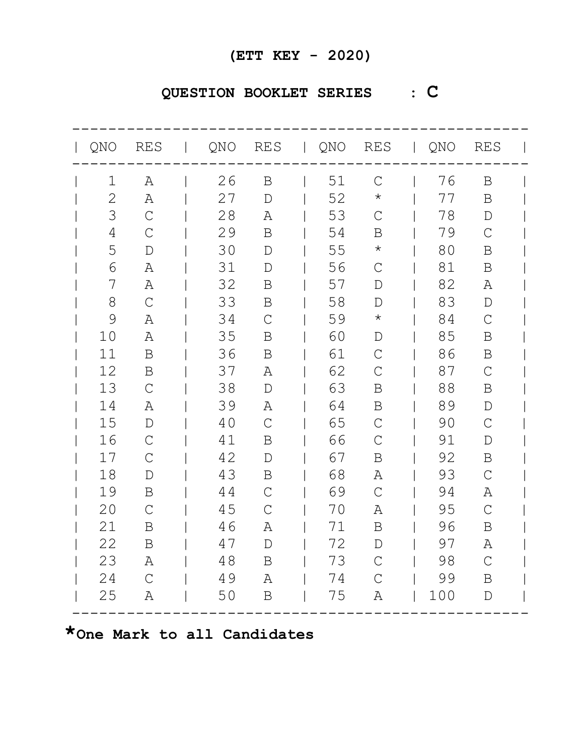## **QUESTION BOOKLET SERIES : C**

| QNO RES        |               | QNO RES   QNO RES   QNO RES |               |    |                |     |               |  |
|----------------|---------------|-----------------------------|---------------|----|----------------|-----|---------------|--|
| $\mathbf 1$    | A             | 26                          | $\mathbf B$   | 51 | $\mathsf{C}$   | 76  | B             |  |
| 2              | Α             | 27                          | $\mathbb D$   | 52 | $\star$        | 77  | B             |  |
| 3              | $\mathsf C$   | 28                          | Α             | 53 | $\mathcal{C}$  | 78  | $\mathbb{D}$  |  |
| $\overline{4}$ | $\mathsf{C}$  | 29                          | $\mathbf B$   | 54 | B              | 79  | $\mathcal{C}$ |  |
| 5              | $\mathbf D$   | 30                          | $\mathbb D$   | 55 | $\star$        | 80  | B             |  |
| 6              | Α             | 31                          | $\mathbb D$   | 56 | $\overline{C}$ | 81  | $\mathbf B$   |  |
| 7              | Α             | 32                          | B             | 57 | $\mathcal{D}$  | 82  | Α             |  |
| 8              | $\mathcal{C}$ | 33                          | B             | 58 | $\mathbb D$    | 83  | $\mathbb D$   |  |
| 9              | $\mathbb{A}$  | 34                          | $\mathcal{C}$ | 59 | $\star$        | 84  | $\mathcal{C}$ |  |
| 10             | Α             | 35                          | B             | 60 | $\mathbb D$    | 85  | B             |  |
| 11             | $\, {\bf B}$  | 36                          | B             | 61 | $\mathcal{C}$  | 86  | $\mathbf B$   |  |
| 12             | $\, {\bf B}$  | 37                          | Α             | 62 | $\mathsf{C}$   | 87  | $\mathcal{C}$ |  |
| 13             | $\mathcal{C}$ | 38                          | $\mathbb D$   | 63 | B              | 88  | B             |  |
| 14             | Α             | 39                          | Α             | 64 | $\mathbf B$    | 89  | $\mathbb{D}$  |  |
| 15             | $\mathbf D$   | 40                          | $\mathsf{C}$  | 65 | $\mathcal{C}$  | 90  | $\mathcal{C}$ |  |
| 16             | $\mathcal{C}$ | 41                          | B             | 66 | $\mathcal{C}$  | 91  | $\mathbb D$   |  |
| 17             | $\mathcal{C}$ | 42                          | $\mathbb D$   | 67 | $\mathbf B$    | 92  | $\mathbf B$   |  |
| 18             | D             | 43                          | B             | 68 | Α              | 93  | $\mathcal{C}$ |  |
| 19             | $\, {\bf B}$  | 44                          | $\mathsf{C}$  | 69 | $\mathcal{C}$  | 94  | Α             |  |
| 20             | $\mathcal{C}$ | 45                          | $\mathcal{C}$ | 70 | Α              | 95  | $\mathcal{C}$ |  |
| 21             | $\, {\bf B}$  | 46                          | Α             | 71 | $\mathbf B$    | 96  | B             |  |
| 22             | B             | 47                          | $\mathbb D$   | 72 | D              | 97  | Α             |  |
| 23             | Α             | 48                          | $\mathbf B$   | 73 | $\mathcal{C}$  | 98  | $\mathcal{C}$ |  |
| 24             | $\mathcal{C}$ | 49                          | Α             | 74 | $\mathcal{C}$  | 99  | $\mathbf B$   |  |
| 25             | Α             | 50                          | $\mathbf B$   | 75 | A              | 100 | $\mathbb D$   |  |